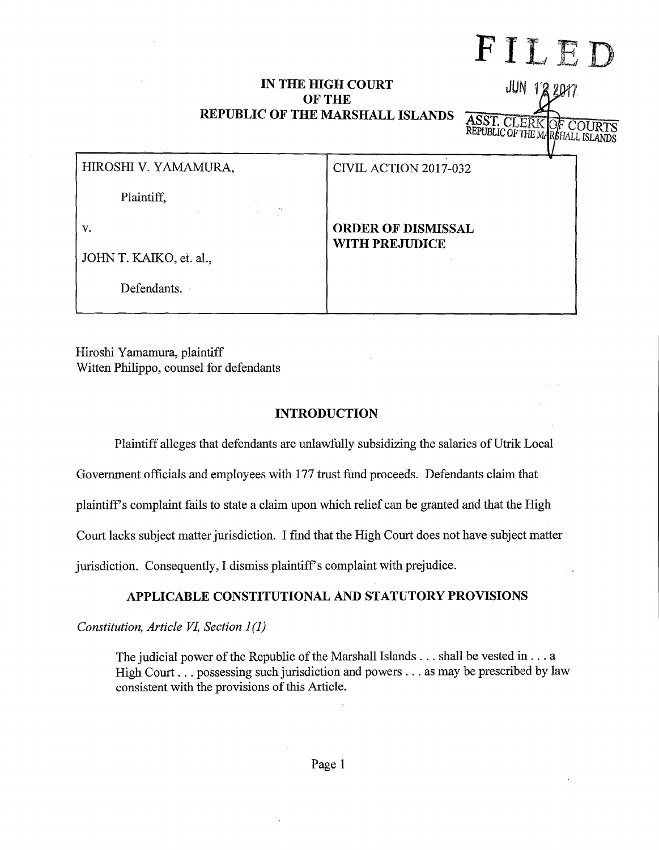# FILED

JUN 122017

**ASST. CLERK**<br>REPUBLIC OF THE M

## **IN THE HIGH COURT OF THE REPUBLIC OF THE MARSHALL ISLANDS**

| HIROSHI V. YAMAMURA,    | CIVIL ACTION 2017-032                              |
|-------------------------|----------------------------------------------------|
| Plaintiff,              |                                                    |
| v.                      | <b>ORDER OF DISMISSAL</b><br><b>WITH PREJUDICE</b> |
| JOHN T. KAIKO, et. al., |                                                    |
| Defendants.             |                                                    |
|                         |                                                    |

Hiroshi Yamamura, plaintiff Witten Philippa, counsel for defendants

## **INTRODUCTION**

Plaintiff alleges that defendants are unlawfully subsidizing the salaries of Utrik Local

Government officials and employees with 177 trust fund proceeds. Defendants claim that

plaintiff's complaint fails to state a claim upon which relief can be granted and that the High

Court lacks subject matter jurisdiction. I find that the High Court does not have subject matter

jurisdiction. Consequently, I dismiss plaintiff's complaint with prejudice.

# **APPLICABLE CONSTITUTIONAL AND STATUTORY PROVISIONS**

*Constitution, Article VI, Section 1 (1)* 

The judicial power of the Republic of the Marshall Islands ... shall be vested in ... a High Court ... possessing such jurisdiction and powers ... as may be prescribed by law consistent with the provisions of this Article.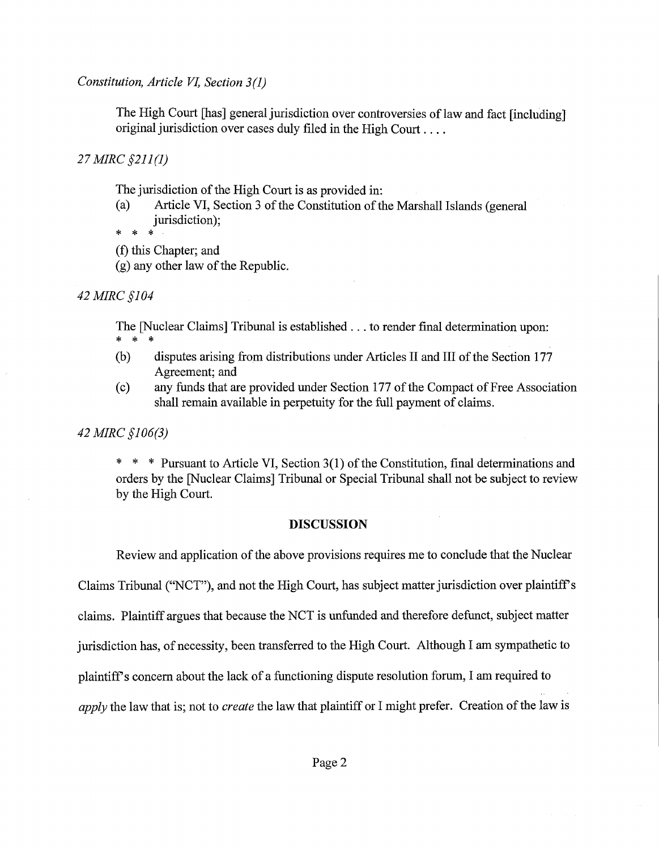*Constitution, Article VI, Section 3(1)* 

The High Court [has] general jurisdiction over controversies of law and fact [including] original jurisdiction over cases duly filed in the High Court ....

*27 MIRC §211 (1)* 

The jurisdiction of the High Court is as provided in:

(a) Article VI, Section 3 of the Constitution of the Marshall Islands (general jurisdiction);

\* \* \*

(f) this Chapter; and

(g) any other law of the Republic.

*42MIRC§104* 

The [Nuclear Claims] Tribunal is established ... to render final determination upon: \* \* \*

- (b) disputes arising from distributions under Articles II and III of the Section 177 Agreement; and
- (c) any funds that are provided under Section 177 of the Compact of Pree Association shall remain available in perpetuity for the full payment of claims.

## *42 MIRC §106(3)*

\* \* \* Pursuant to Article VI, Section 3(1) of the Constitution, final determinations and orders by the [Nuclear Claims] Tribunal or Special Tribunal shall not be subject to review by the High Court.

## **DISCUSSION**

Review and application of the above provisions requires me to conclude that the Nuclear Claims Tribunal ("NCT"), and not the High Court, has subject matter jurisdiction over plaintiffs claims. Plaintiff argues that because the NCT is unfunded and therefore defunct, subject matter jurisdiction has, of necessity, been transferred to the High Court. Although I am sympathetic to plaintiffs concern about the lack of a functioning dispute resolution forum, I am required to *apply* the law that is; not to *create* the law that plaintiff or I might prefer. Creation of the law is